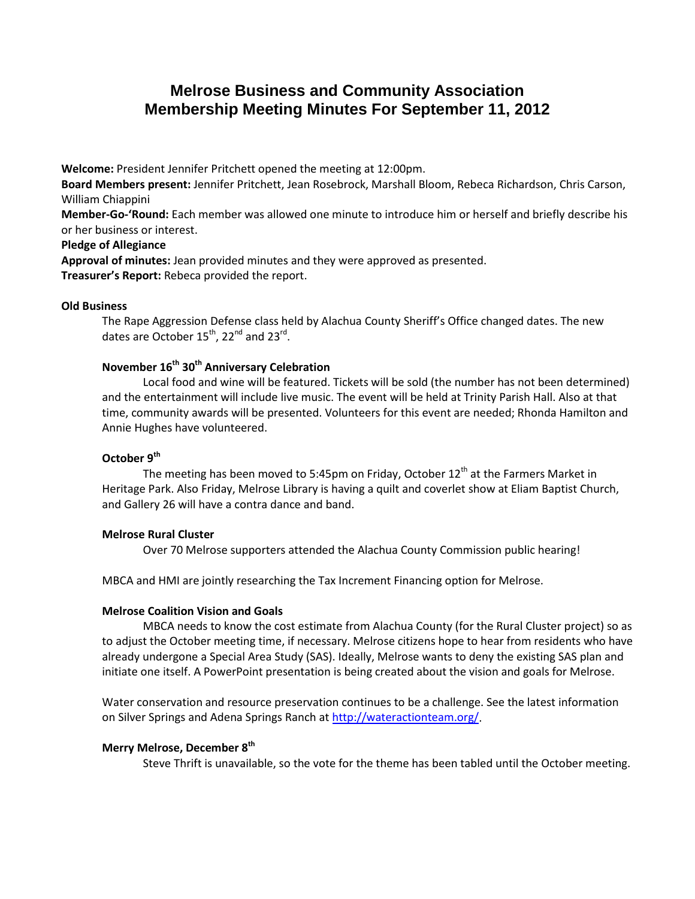# **Melrose Business and Community Association Membership Meeting Minutes For September 11, 2012**

**Welcome:** President Jennifer Pritchett opened the meeting at 12:00pm.

**Board Members present:** Jennifer Pritchett, Jean Rosebrock, Marshall Bloom, Rebeca Richardson, Chris Carson, William Chiappini

**Member-Go-'Round:** Each member was allowed one minute to introduce him or herself and briefly describe his or her business or interest.

# **Pledge of Allegiance**

**Approval of minutes:** Jean provided minutes and they were approved as presented. **Treasurer's Report:** Rebeca provided the report.

# **Old Business**

The Rape Aggression Defense class held by Alachua County Sheriff's Office changed dates. The new dates are October 15<sup>th</sup>, 22<sup>nd</sup> and 23<sup>rd</sup>.

# **November 16th 30th Anniversary Celebration**

Local food and wine will be featured. Tickets will be sold (the number has not been determined) and the entertainment will include live music. The event will be held at Trinity Parish Hall. Also at that time, community awards will be presented. Volunteers for this event are needed; Rhonda Hamilton and Annie Hughes have volunteered.

# **October 9th**

The meeting has been moved to 5:45pm on Friday, October  $12<sup>th</sup>$  at the Farmers Market in Heritage Park. Also Friday, Melrose Library is having a quilt and coverlet show at Eliam Baptist Church, and Gallery 26 will have a contra dance and band.

# **Melrose Rural Cluster**

Over 70 Melrose supporters attended the Alachua County Commission public hearing!

MBCA and HMI are jointly researching the Tax Increment Financing option for Melrose.

# **Melrose Coalition Vision and Goals**

MBCA needs to know the cost estimate from Alachua County (for the Rural Cluster project) so as to adjust the October meeting time, if necessary. Melrose citizens hope to hear from residents who have already undergone a Special Area Study (SAS). Ideally, Melrose wants to deny the existing SAS plan and initiate one itself. A PowerPoint presentation is being created about the vision and goals for Melrose.

Water conservation and resource preservation continues to be a challenge. See the latest information on Silver Springs and Adena Springs Ranch a[t http://wateractionteam.org/.](http://wateractionteam.org/)

#### **Merry Melrose, December 8th**

Steve Thrift is unavailable, so the vote for the theme has been tabled until the October meeting.